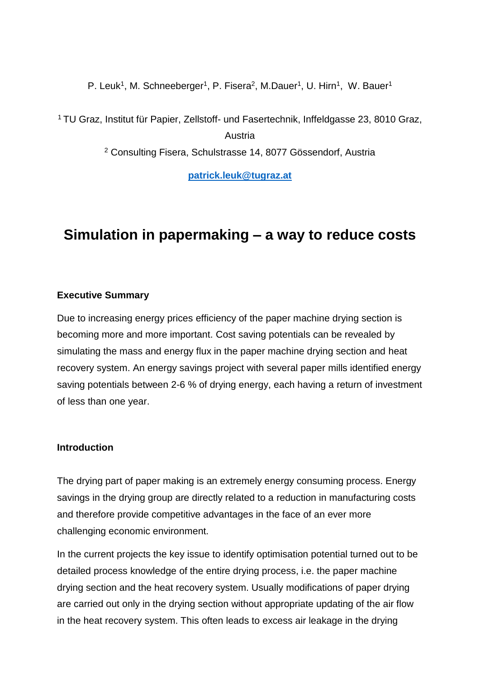P. Leuk<sup>1</sup>, M. Schneeberger<sup>1</sup>, P. Fisera<sup>2</sup>, M.Dauer<sup>1</sup>, U. Hirn<sup>1</sup>, W. Bauer<sup>1</sup>

<sup>1</sup> TU Graz, Institut für Papier, Zellstoff- und Fasertechnik, Inffeldgasse 23, 8010 Graz,

Austria

<sup>2</sup> Consulting Fisera, Schulstrasse 14, 8077 Gössendorf, Austria

**[patrick.leuk@tugraz.at](mailto:patrick.leuk@tugraz.at)**

# **Simulation in papermaking – a way to reduce costs**

# **Executive Summary**

Due to increasing energy prices efficiency of the paper machine drying section is becoming more and more important. Cost saving potentials can be revealed by simulating the mass and energy flux in the paper machine drying section and heat recovery system. An energy savings project with several paper mills identified energy saving potentials between 2-6 % of drying energy, each having a return of investment of less than one year.

# **Introduction**

The drying part of paper making is an extremely energy consuming process. Energy savings in the drying group are directly related to a reduction in manufacturing costs and therefore provide competitive advantages in the face of an ever more challenging economic environment.

In the current projects the key issue to identify optimisation potential turned out to be detailed process knowledge of the entire drying process, i.e. the paper machine drying section and the heat recovery system. Usually modifications of paper drying are carried out only in the drying section without appropriate updating of the air flow in the heat recovery system. This often leads to excess air leakage in the drying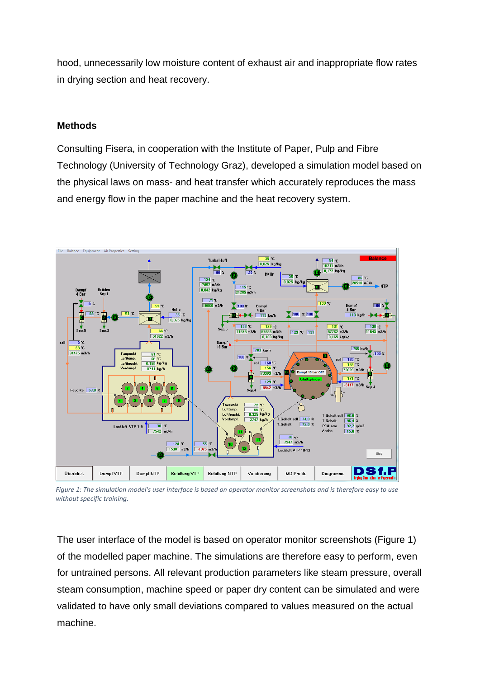hood, unnecessarily low moisture content of exhaust air and inappropriate flow rates in drying section and heat recovery.

### **Methods**

Consulting Fisera, in cooperation with the Institute of Paper, Pulp and Fibre Technology (University of Technology Graz), developed a simulation model based on the physical laws on mass- and heat transfer which accurately reproduces the mass and energy flow in the paper machine and the heat recovery system.



*Figure 1: The simulation model's user interface is based on operator monitor screenshots and is therefore easy to use without specific training.*

The user interface of the model is based on operator monitor screenshots (Figure 1) of the modelled paper machine. The simulations are therefore easy to perform, even for untrained persons. All relevant production parameters like steam pressure, overall steam consumption, machine speed or paper dry content can be simulated and were validated to have only small deviations compared to values measured on the actual machine.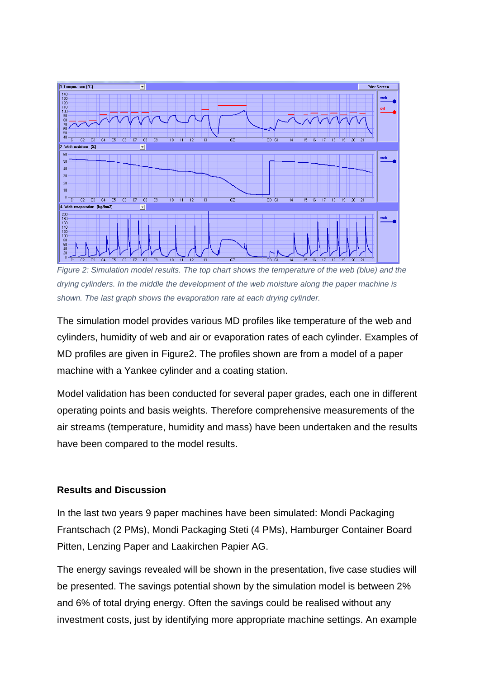

*Figure 2: Simulation model results. The top chart shows the temperature of the web (blue) and the drying cylinders. In the middle the development of the web moisture along the paper machine is shown. The last graph shows the evaporation rate at each drying cylinder.* 

The simulation model provides various MD profiles like temperature of the web and cylinders, humidity of web and air or evaporation rates of each cylinder. Examples of MD profiles are given in Figure2. The profiles shown are from a model of a paper machine with a Yankee cylinder and a coating station.

Model validation has been conducted for several paper grades, each one in different operating points and basis weights. Therefore comprehensive measurements of the air streams (temperature, humidity and mass) have been undertaken and the results have been compared to the model results.

# **Results and Discussion**

In the last two years 9 paper machines have been simulated: Mondi Packaging Frantschach (2 PMs), Mondi Packaging Steti (4 PMs), Hamburger Container Board Pitten, Lenzing Paper and Laakirchen Papier AG.

The energy savings revealed will be shown in the presentation, five case studies will be presented. The savings potential shown by the simulation model is between 2% and 6% of total drying energy. Often the savings could be realised without any investment costs, just by identifying more appropriate machine settings. An example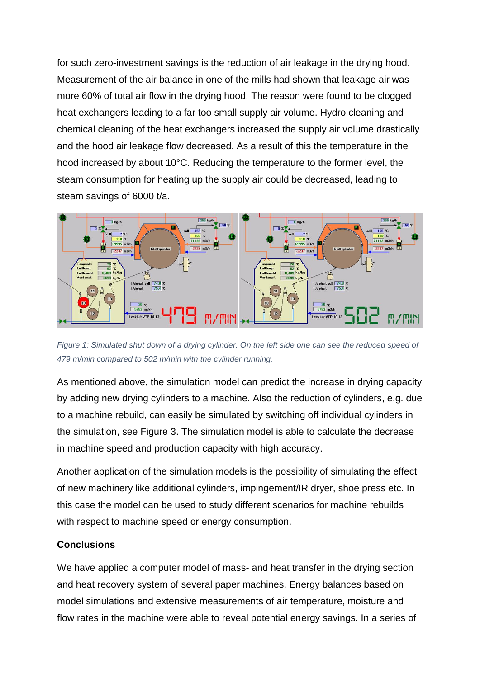for such zero-investment savings is the reduction of air leakage in the drying hood. Measurement of the air balance in one of the mills had shown that leakage air was more 60% of total air flow in the drying hood. The reason were found to be clogged heat exchangers leading to a far too small supply air volume. Hydro cleaning and chemical cleaning of the heat exchangers increased the supply air volume drastically and the hood air leakage flow decreased. As a result of this the temperature in the hood increased by about 10°C. Reducing the temperature to the former level, the steam consumption for heating up the supply air could be decreased, leading to steam savings of 6000 t/a.



*Figure 1: Simulated shut down of a drying cylinder. On the left side one can see the reduced speed of 479 m/min compared to 502 m/min with the cylinder running.* 

As mentioned above, the simulation model can predict the increase in drying capacity by adding new drying cylinders to a machine. Also the reduction of cylinders, e.g. due to a machine rebuild, can easily be simulated by switching off individual cylinders in the simulation, see Figure 3. The simulation model is able to calculate the decrease in machine speed and production capacity with high accuracy.

Another application of the simulation models is the possibility of simulating the effect of new machinery like additional cylinders, impingement/IR dryer, shoe press etc. In this case the model can be used to study different scenarios for machine rebuilds with respect to machine speed or energy consumption.

### **Conclusions**

We have applied a computer model of mass- and heat transfer in the drying section and heat recovery system of several paper machines. Energy balances based on model simulations and extensive measurements of air temperature, moisture and flow rates in the machine were able to reveal potential energy savings. In a series of